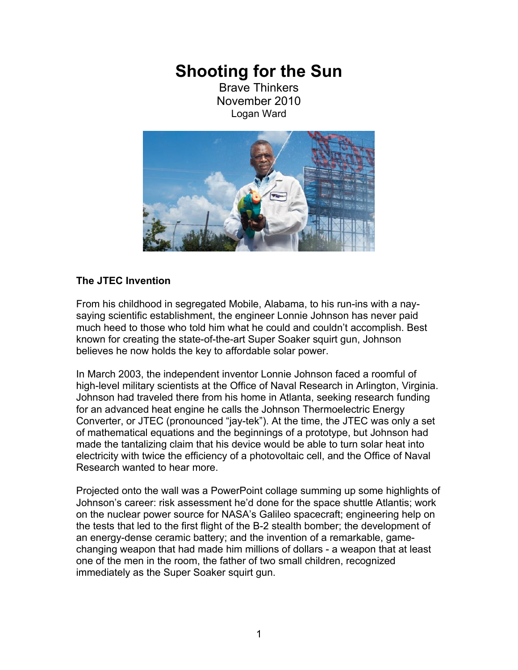## **Shooting for the Sun**

Brave Thinkers November 2010 Logan Ward



## **The JTEC Invention**

From his childhood in segregated Mobile, Alabama, to his run-ins with a naysaying scientific establishment, the engineer Lonnie Johnson has never paid much heed to those who told him what he could and couldn't accomplish. Best known for creating the state-of-the-art Super Soaker squirt gun, Johnson believes he now holds the key to affordable solar power.

In March 2003, the independent inventor Lonnie Johnson faced a roomful of high-level military scientists at the Office of Naval Research in Arlington, Virginia. Johnson had traveled there from his home in Atlanta, seeking research funding for an advanced heat engine he calls the Johnson Thermoelectric Energy Converter, or JTEC (pronounced "jay-tek"). At the time, the JTEC was only a set of mathematical equations and the beginnings of a prototype, but Johnson had made the tantalizing claim that his device would be able to turn solar heat into electricity with twice the efficiency of a photovoltaic cell, and the Office of Naval Research wanted to hear more.

Projected onto the wall was a PowerPoint collage summing up some highlights of Johnson's career: risk assessment he'd done for the space shuttle Atlantis; work on the nuclear power source for NASA's Galileo spacecraft; engineering help on the tests that led to the first flight of the B-2 stealth bomber; the development of an energy-dense ceramic battery; and the invention of a remarkable, gamechanging weapon that had made him millions of dollars - a weapon that at least one of the men in the room, the father of two small children, recognized immediately as the Super Soaker squirt gun.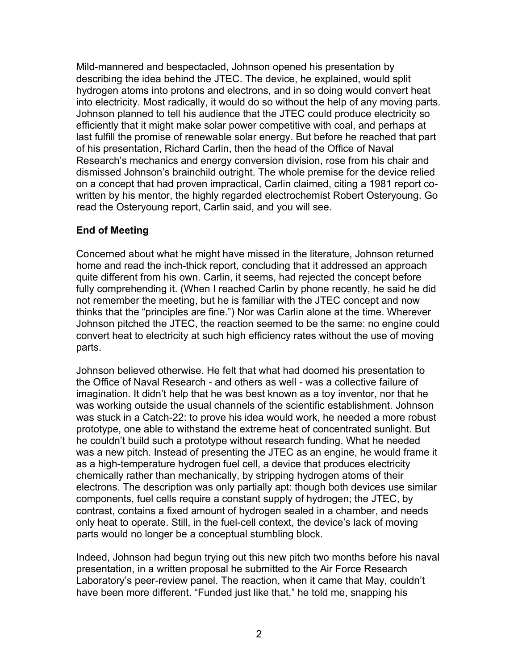Mild-mannered and bespectacled, Johnson opened his presentation by describing the idea behind the JTEC. The device, he explained, would split hydrogen atoms into protons and electrons, and in so doing would convert heat into electricity. Most radically, it would do so without the help of any moving parts. Johnson planned to tell his audience that the JTEC could produce electricity so efficiently that it might make solar power competitive with coal, and perhaps at last fulfill the promise of renewable solar energy. But before he reached that part of his presentation, Richard Carlin, then the head of the Office of Naval Research's mechanics and energy conversion division, rose from his chair and dismissed Johnson's brainchild outright. The whole premise for the device relied on a concept that had proven impractical, Carlin claimed, citing a 1981 report cowritten by his mentor, the highly regarded electrochemist Robert Osteryoung. Go read the Osteryoung report, Carlin said, and you will see.

## **End of Meeting**

Concerned about what he might have missed in the literature, Johnson returned home and read the inch-thick report, concluding that it addressed an approach quite different from his own. Carlin, it seems, had rejected the concept before fully comprehending it. (When I reached Carlin by phone recently, he said he did not remember the meeting, but he is familiar with the JTEC concept and now thinks that the "principles are fine.") Nor was Carlin alone at the time. Wherever Johnson pitched the JTEC, the reaction seemed to be the same: no engine could convert heat to electricity at such high efficiency rates without the use of moving parts.

Johnson believed otherwise. He felt that what had doomed his presentation to the Office of Naval Research - and others as well - was a collective failure of imagination. It didn't help that he was best known as a toy inventor, nor that he was working outside the usual channels of the scientific establishment. Johnson was stuck in a Catch-22: to prove his idea would work, he needed a more robust prototype, one able to withstand the extreme heat of concentrated sunlight. But he couldn't build such a prototype without research funding. What he needed was a new pitch. Instead of presenting the JTEC as an engine, he would frame it as a high-temperature hydrogen fuel cell, a device that produces electricity chemically rather than mechanically, by stripping hydrogen atoms of their electrons. The description was only partially apt: though both devices use similar components, fuel cells require a constant supply of hydrogen; the JTEC, by contrast, contains a fixed amount of hydrogen sealed in a chamber, and needs only heat to operate. Still, in the fuel-cell context, the device's lack of moving parts would no longer be a conceptual stumbling block.

Indeed, Johnson had begun trying out this new pitch two months before his naval presentation, in a written proposal he submitted to the Air Force Research Laboratory's peer-review panel. The reaction, when it came that May, couldn't have been more different. "Funded just like that," he told me, snapping his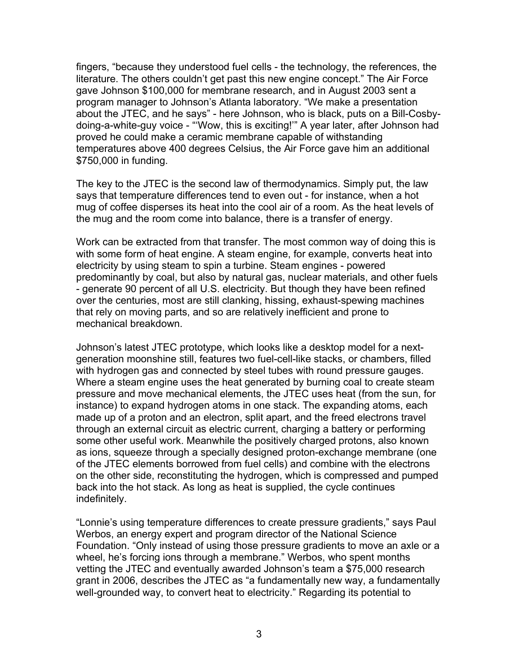fingers, "because they understood fuel cells - the technology, the references, the literature. The others couldn't get past this new engine concept." The Air Force gave Johnson \$100,000 for membrane research, and in August 2003 sent a program manager to Johnson's Atlanta laboratory. "We make a presentation about the JTEC, and he says" - here Johnson, who is black, puts on a Bill-Cosbydoing-a-white-guy voice - "'Wow, this is exciting!'" A year later, after Johnson had proved he could make a ceramic membrane capable of withstanding temperatures above 400 degrees Celsius, the Air Force gave him an additional \$750,000 in funding.

The key to the JTEC is the second law of thermodynamics. Simply put, the law says that temperature differences tend to even out - for instance, when a hot mug of coffee disperses its heat into the cool air of a room. As the heat levels of the mug and the room come into balance, there is a transfer of energy.

Work can be extracted from that transfer. The most common way of doing this is with some form of heat engine. A steam engine, for example, converts heat into electricity by using steam to spin a turbine. Steam engines - powered predominantly by coal, but also by natural gas, nuclear materials, and other fuels - generate 90 percent of all U.S. electricity. But though they have been refined over the centuries, most are still clanking, hissing, exhaust-spewing machines that rely on moving parts, and so are relatively inefficient and prone to mechanical breakdown.

Johnson's latest JTEC prototype, which looks like a desktop model for a nextgeneration moonshine still, features two fuel-cell-like stacks, or chambers, filled with hydrogen gas and connected by steel tubes with round pressure gauges. Where a steam engine uses the heat generated by burning coal to create steam pressure and move mechanical elements, the JTEC uses heat (from the sun, for instance) to expand hydrogen atoms in one stack. The expanding atoms, each made up of a proton and an electron, split apart, and the freed electrons travel through an external circuit as electric current, charging a battery or performing some other useful work. Meanwhile the positively charged protons, also known as ions, squeeze through a specially designed proton-exchange membrane (one of the JTEC elements borrowed from fuel cells) and combine with the electrons on the other side, reconstituting the hydrogen, which is compressed and pumped back into the hot stack. As long as heat is supplied, the cycle continues indefinitely.

"Lonnie's using temperature differences to create pressure gradients," says Paul Werbos, an energy expert and program director of the National Science Foundation. "Only instead of using those pressure gradients to move an axle or a wheel, he's forcing ions through a membrane." Werbos, who spent months vetting the JTEC and eventually awarded Johnson's team a \$75,000 research grant in 2006, describes the JTEC as "a fundamentally new way, a fundamentally well-grounded way, to convert heat to electricity." Regarding its potential to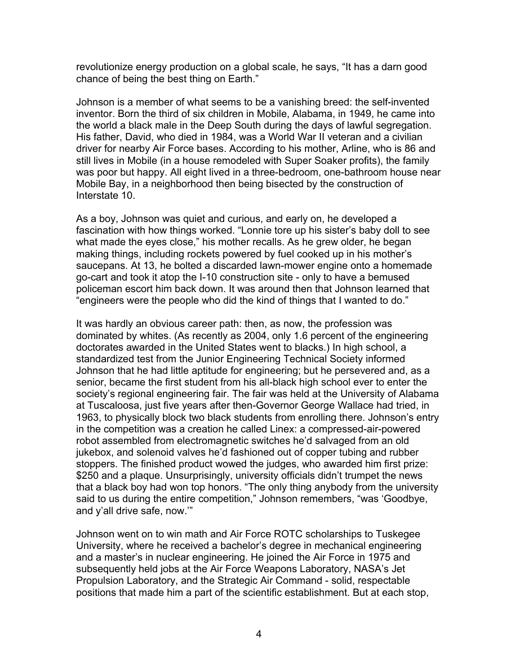revolutionize energy production on a global scale, he says, "It has a darn good chance of being the best thing on Earth."

Johnson is a member of what seems to be a vanishing breed: the self-invented inventor. Born the third of six children in Mobile, Alabama, in 1949, he came into the world a black male in the Deep South during the days of lawful segregation. His father, David, who died in 1984, was a World War II veteran and a civilian driver for nearby Air Force bases. According to his mother, Arline, who is 86 and still lives in Mobile (in a house remodeled with Super Soaker profits), the family was poor but happy. All eight lived in a three-bedroom, one-bathroom house near Mobile Bay, in a neighborhood then being bisected by the construction of Interstate 10.

As a boy, Johnson was quiet and curious, and early on, he developed a fascination with how things worked. "Lonnie tore up his sister's baby doll to see what made the eyes close," his mother recalls. As he grew older, he began making things, including rockets powered by fuel cooked up in his mother's saucepans. At 13, he bolted a discarded lawn-mower engine onto a homemade go-cart and took it atop the I-10 construction site - only to have a bemused policeman escort him back down. It was around then that Johnson learned that "engineers were the people who did the kind of things that I wanted to do."

It was hardly an obvious career path: then, as now, the profession was dominated by whites. (As recently as 2004, only 1.6 percent of the engineering doctorates awarded in the United States went to blacks.) In high school, a standardized test from the Junior Engineering Technical Society informed Johnson that he had little aptitude for engineering; but he persevered and, as a senior, became the first student from his all-black high school ever to enter the society's regional engineering fair. The fair was held at the University of Alabama at Tuscaloosa, just five years after then-Governor George Wallace had tried, in 1963, to physically block two black students from enrolling there. Johnson's entry in the competition was a creation he called Linex: a compressed-air-powered robot assembled from electromagnetic switches he'd salvaged from an old jukebox, and solenoid valves he'd fashioned out of copper tubing and rubber stoppers. The finished product wowed the judges, who awarded him first prize: \$250 and a plaque. Unsurprisingly, university officials didn't trumpet the news that a black boy had won top honors. "The only thing anybody from the university said to us during the entire competition," Johnson remembers, "was 'Goodbye, and y'all drive safe, now.'"

Johnson went on to win math and Air Force ROTC scholarships to Tuskegee University, where he received a bachelor's degree in mechanical engineering and a master's in nuclear engineering. He joined the Air Force in 1975 and subsequently held jobs at the Air Force Weapons Laboratory, NASA's Jet Propulsion Laboratory, and the Strategic Air Command - solid, respectable positions that made him a part of the scientific establishment. But at each stop,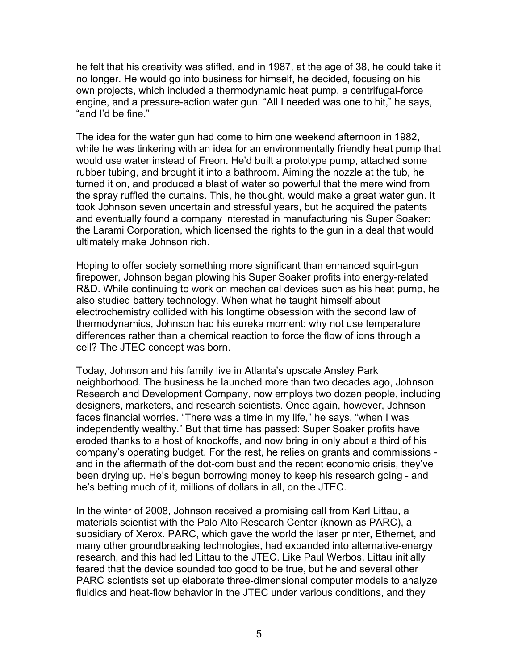he felt that his creativity was stifled, and in 1987, at the age of 38, he could take it no longer. He would go into business for himself, he decided, focusing on his own projects, which included a thermodynamic heat pump, a centrifugal-force engine, and a pressure-action water gun. "All I needed was one to hit," he says, "and I'd be fine."

The idea for the water gun had come to him one weekend afternoon in 1982, while he was tinkering with an idea for an environmentally friendly heat pump that would use water instead of Freon. He'd built a prototype pump, attached some rubber tubing, and brought it into a bathroom. Aiming the nozzle at the tub, he turned it on, and produced a blast of water so powerful that the mere wind from the spray ruffled the curtains. This, he thought, would make a great water gun. It took Johnson seven uncertain and stressful years, but he acquired the patents and eventually found a company interested in manufacturing his Super Soaker: the Larami Corporation, which licensed the rights to the gun in a deal that would ultimately make Johnson rich.

Hoping to offer society something more significant than enhanced squirt-gun firepower, Johnson began plowing his Super Soaker profits into energy-related R&D. While continuing to work on mechanical devices such as his heat pump, he also studied battery technology. When what he taught himself about electrochemistry collided with his longtime obsession with the second law of thermodynamics, Johnson had his eureka moment: why not use temperature differences rather than a chemical reaction to force the flow of ions through a cell? The JTEC concept was born.

Today, Johnson and his family live in Atlanta's upscale Ansley Park neighborhood. The business he launched more than two decades ago, Johnson Research and Development Company, now employs two dozen people, including designers, marketers, and research scientists. Once again, however, Johnson faces financial worries. "There was a time in my life," he says, "when I was independently wealthy." But that time has passed: Super Soaker profits have eroded thanks to a host of knockoffs, and now bring in only about a third of his company's operating budget. For the rest, he relies on grants and commissions and in the aftermath of the dot-com bust and the recent economic crisis, they've been drying up. He's begun borrowing money to keep his research going - and he's betting much of it, millions of dollars in all, on the JTEC.

In the winter of 2008, Johnson received a promising call from Karl Littau, a materials scientist with the Palo Alto Research Center (known as PARC), a subsidiary of Xerox. PARC, which gave the world the laser printer, Ethernet, and many other groundbreaking technologies, had expanded into alternative-energy research, and this had led Littau to the JTEC. Like Paul Werbos, Littau initially feared that the device sounded too good to be true, but he and several other PARC scientists set up elaborate three-dimensional computer models to analyze fluidics and heat-flow behavior in the JTEC under various conditions, and they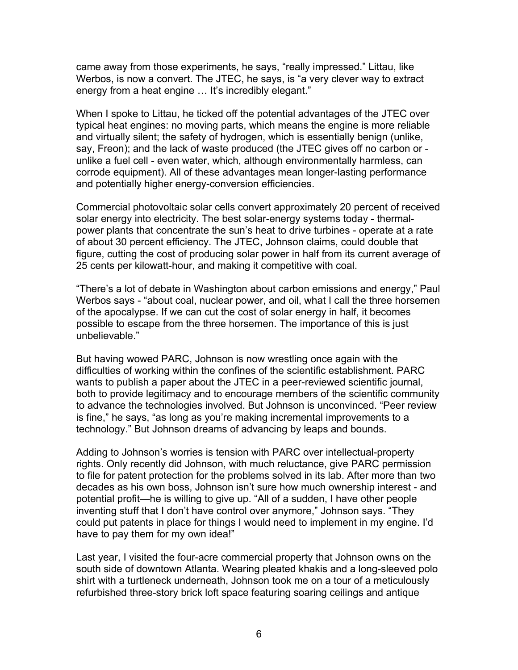came away from those experiments, he says, "really impressed." Littau, like Werbos, is now a convert. The JTEC, he says, is "a very clever way to extract energy from a heat engine ... It's incredibly elegant."

When I spoke to Littau, he ticked off the potential advantages of the JTEC over typical heat engines: no moving parts, which means the engine is more reliable and virtually silent; the safety of hydrogen, which is essentially benign (unlike, say, Freon); and the lack of waste produced (the JTEC gives off no carbon or unlike a fuel cell - even water, which, although environmentally harmless, can corrode equipment). All of these advantages mean longer-lasting performance and potentially higher energy-conversion efficiencies.

Commercial photovoltaic solar cells convert approximately 20 percent of received solar energy into electricity. The best solar-energy systems today - thermalpower plants that concentrate the sun's heat to drive turbines - operate at a rate of about 30 percent efficiency. The JTEC, Johnson claims, could double that figure, cutting the cost of producing solar power in half from its current average of 25 cents per kilowatt-hour, and making it competitive with coal.

"There's a lot of debate in Washington about carbon emissions and energy," Paul Werbos says - "about coal, nuclear power, and oil, what I call the three horsemen of the apocalypse. If we can cut the cost of solar energy in half, it becomes possible to escape from the three horsemen. The importance of this is just unbelievable."

But having wowed PARC, Johnson is now wrestling once again with the difficulties of working within the confines of the scientific establishment. PARC wants to publish a paper about the JTEC in a peer-reviewed scientific journal, both to provide legitimacy and to encourage members of the scientific community to advance the technologies involved. But Johnson is unconvinced. "Peer review is fine," he says, "as long as you're making incremental improvements to a technology." But Johnson dreams of advancing by leaps and bounds.

Adding to Johnson's worries is tension with PARC over intellectual-property rights. Only recently did Johnson, with much reluctance, give PARC permission to file for patent protection for the problems solved in its lab. After more than two decades as his own boss, Johnson isn't sure how much ownership interest - and potential profit—he is willing to give up. "All of a sudden, I have other people inventing stuff that I don't have control over anymore," Johnson says. "They could put patents in place for things I would need to implement in my engine. I'd have to pay them for my own idea!"

Last year, I visited the four-acre commercial property that Johnson owns on the south side of downtown Atlanta. Wearing pleated khakis and a long-sleeved polo shirt with a turtleneck underneath, Johnson took me on a tour of a meticulously refurbished three-story brick loft space featuring soaring ceilings and antique